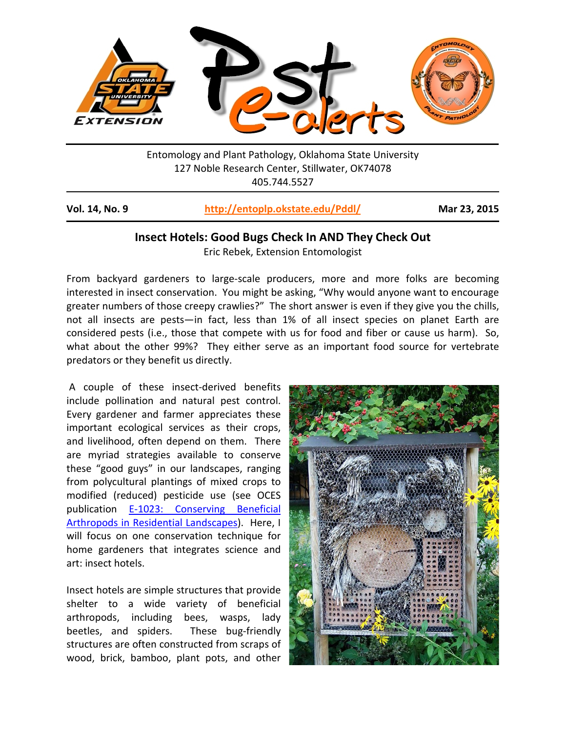

Entomology and Plant Pathology, Oklahoma State University 127 Noble Research Center, Stillwater, OK74078 405.744.5527

| Vol. 14, No. 9 | http://entoplp.okstate.edu/Pddl/ | Mar 23, 2015 |
|----------------|----------------------------------|--------------|
|----------------|----------------------------------|--------------|

## **Insect Hotels: Good Bugs Check In AND They Check Out**

Eric Rebek, Extension Entomologist

From backyard gardeners to large-scale producers, more and more folks are becoming interested in insect conservation. You might be asking, "Why would anyone want to encourage greater numbers of those creepy crawlies?" The short answer is even if they give you the chills, not all insects are pests—in fact, less than 1% of all insect species on planet Earth are considered pests (i.e., those that compete with us for food and fiber or cause us harm). So, what about the other 99%? They either serve as an important food source for vertebrate predators or they benefit us directly.

A couple of these insect-derived benefits include pollination and natural pest control. Every gardener and farmer appreciates these important ecological services as their crops, and livelihood, often depend on them. There are myriad strategies available to conserve these "good guys" in our landscapes, ranging from polycultural plantings of mixed crops to modified (reduced) pesticide use (see OCES publication E-1023: [Conserving Beneficial](http://pods.dasnr.okstate.edu/docushare/dsweb/Get/Document-7426/E-1023.pdf)  [Arthropods in Residential Landscapes\)](http://pods.dasnr.okstate.edu/docushare/dsweb/Get/Document-7426/E-1023.pdf). Here, I will focus on one conservation technique for home gardeners that integrates science and art: insect hotels.

Insect hotels are simple structures that provide shelter to a wide variety of beneficial arthropods, including bees, wasps, lady beetles, and spiders. These bug-friendly structures are often constructed from scraps of wood, brick, bamboo, plant pots, and other

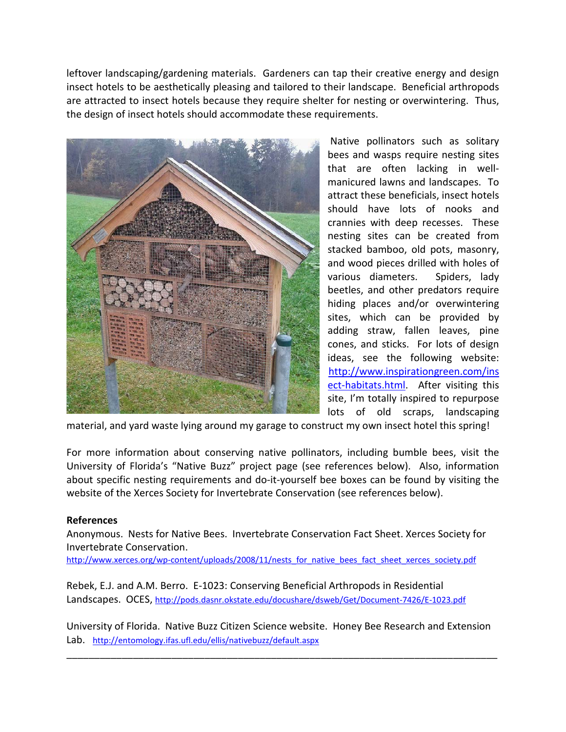leftover landscaping/gardening materials. Gardeners can tap their creative energy and design insect hotels to be aesthetically pleasing and tailored to their landscape. Beneficial arthropods are attracted to insect hotels because they require shelter for nesting or overwintering. Thus, the design of insect hotels should accommodate these requirements.



Native pollinators such as solitary bees and wasps require nesting sites that are often lacking in wellmanicured lawns and landscapes. To attract these beneficials, insect hotels should have lots of nooks and crannies with deep recesses. These nesting sites can be created from stacked bamboo, old pots, masonry, and wood pieces drilled with holes of various diameters. Spiders, lady beetles, and other predators require hiding places and/or overwintering sites, which can be provided by adding straw, fallen leaves, pine cones, and sticks. For lots of design ideas, see the following website: [http://www.inspirationgreen.com/ins](http://www.inspirationgreen.com/insect-habitats.html) [ect-habitats.html.](http://www.inspirationgreen.com/insect-habitats.html) After visiting this site, I'm totally inspired to repurpose lots of old scraps, landscaping

material, and yard waste lying around my garage to construct my own insect hotel this spring!

For more information about conserving native pollinators, including bumble bees, visit the University of Florida's "Native Buzz" project page (see references below). Also, information about specific nesting requirements and do-it-yourself bee boxes can be found by visiting the website of the Xerces Society for Invertebrate Conservation (see references below).

## **References**

Anonymous. Nests for Native Bees. Invertebrate Conservation Fact Sheet. Xerces Society for Invertebrate Conservation.

[http://www.xerces.org/wp-content/uploads/2008/11/nests\\_for\\_native\\_bees\\_fact\\_sheet\\_xerces\\_society.pdf](http://www.xerces.org/wp-content/uploads/2008/11/nests_for_native_bees_fact_sheet_xerces_society.pdf)

Rebek, E.J. and A.M. Berro. E-1023: Conserving Beneficial Arthropods in Residential Landscapes. OCES,<http://pods.dasnr.okstate.edu/docushare/dsweb/Get/Document-7426/E-1023.pdf>

University of Florida. Native Buzz Citizen Science website. Honey Bee Research and Extension Lab. <http://entomology.ifas.ufl.edu/ellis/nativebuzz/default.aspx>

\_\_\_\_\_\_\_\_\_\_\_\_\_\_\_\_\_\_\_\_\_\_\_\_\_\_\_\_\_\_\_\_\_\_\_\_\_\_\_\_\_\_\_\_\_\_\_\_\_\_\_\_\_\_\_\_\_\_\_\_\_\_\_\_\_\_\_\_\_\_\_\_\_\_\_\_\_\_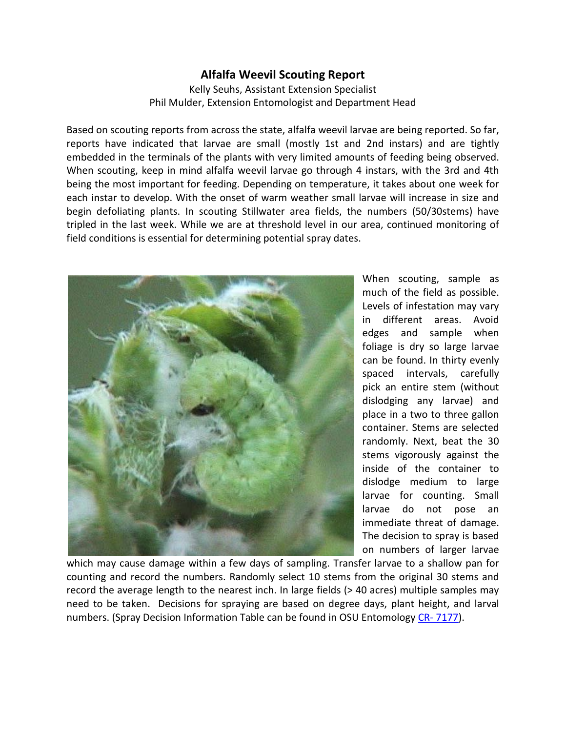## **Alfalfa Weevil Scouting Report**

Kelly Seuhs, Assistant Extension Specialist Phil Mulder, Extension Entomologist and Department Head

Based on scouting reports from across the state, alfalfa weevil larvae are being reported. So far, reports have indicated that larvae are small (mostly 1st and 2nd instars) and are tightly embedded in the terminals of the plants with very limited amounts of feeding being observed. When scouting, keep in mind alfalfa weevil larvae go through 4 instars, with the 3rd and 4th being the most important for feeding. Depending on temperature, it takes about one week for each instar to develop. With the onset of warm weather small larvae will increase in size and begin defoliating plants. In scouting Stillwater area fields, the numbers (50/30stems) have tripled in the last week. While we are at threshold level in our area, continued monitoring of field conditions is essential for determining potential spray dates.



When scouting, sample as much of the field as possible. Levels of infestation may vary in different areas. Avoid edges and sample when foliage is dry so large larvae can be found. In thirty evenly spaced intervals, carefully pick an entire stem (without dislodging any larvae) and place in a two to three gallon container. Stems are selected randomly. Next, beat the 30 stems vigorously against the inside of the container to dislodge medium to large larvae for counting. Small larvae do not pose an immediate threat of damage. The decision to spray is based on numbers of larger larvae

which may cause damage within a few days of sampling. Transfer larvae to a shallow pan for counting and record the numbers. Randomly select 10 stems from the original 30 stems and record the average length to the nearest inch. In large fields (> 40 acres) multiple samples may need to be taken. Decisions for spraying are based on degree days, plant height, and larval numbers. (Spray Decision Information Table can be found in OSU Entomology CR- [7177\)](http://pods.dasnr.okstate.edu/docushare/dsweb/Get/Document-2583/CR-7177web.pdf).